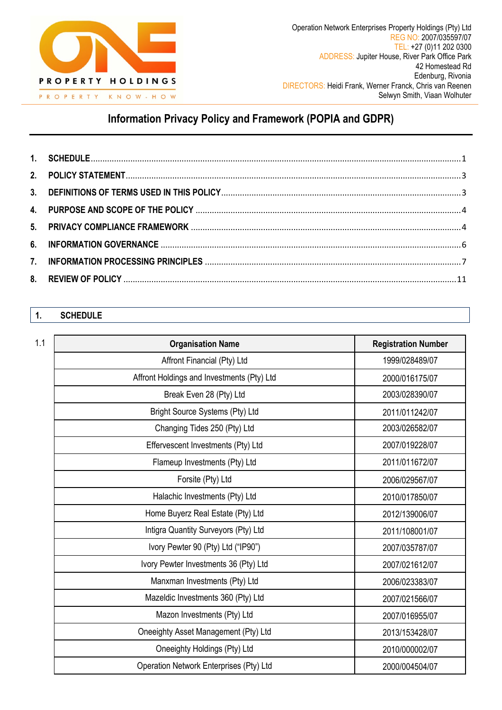

# **Information Privacy Policy and Framework (POPIA and GDPR)**

# <span id="page-0-0"></span>**1. SCHEDULE**

| 1.1 | <b>Organisation Name</b>                   | <b>Registration Number</b> |
|-----|--------------------------------------------|----------------------------|
|     | Affront Financial (Pty) Ltd                | 1999/028489/07             |
|     | Affront Holdings and Investments (Pty) Ltd | 2000/016175/07             |
|     | Break Even 28 (Pty) Ltd                    | 2003/028390/07             |
|     | Bright Source Systems (Pty) Ltd            | 2011/011242/07             |
|     | Changing Tides 250 (Pty) Ltd               | 2003/026582/07             |
|     | Effervescent Investments (Pty) Ltd         | 2007/019228/07             |
|     | Flameup Investments (Pty) Ltd              | 2011/011672/07             |
|     | Forsite (Pty) Ltd                          | 2006/029567/07             |
|     | Halachic Investments (Pty) Ltd             | 2010/017850/07             |
|     | Home Buyerz Real Estate (Pty) Ltd          | 2012/139006/07             |
|     | Intigra Quantity Surveyors (Pty) Ltd       | 2011/108001/07             |
|     | Ivory Pewter 90 (Pty) Ltd ("IP90")         | 2007/035787/07             |
|     | Ivory Pewter Investments 36 (Pty) Ltd      | 2007/021612/07             |
|     | Manxman Investments (Pty) Ltd              | 2006/023383/07             |
|     | Mazeldic Investments 360 (Pty) Ltd         | 2007/021566/07             |
|     | Mazon Investments (Pty) Ltd                | 2007/016955/07             |
|     | Oneeighty Asset Management (Pty) Ltd       | 2013/153428/07             |
|     | Oneeighty Holdings (Pty) Ltd               | 2010/000002/07             |
|     | Operation Network Enterprises (Pty) Ltd    | 2000/004504/07             |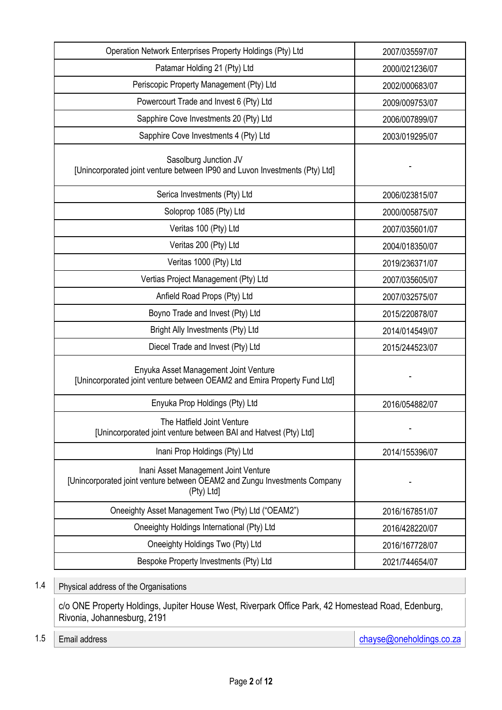| Operation Network Enterprises Property Holdings (Pty) Ltd                                                                       | 2007/035597/07 |
|---------------------------------------------------------------------------------------------------------------------------------|----------------|
| Patamar Holding 21 (Pty) Ltd                                                                                                    | 2000/021236/07 |
| Periscopic Property Management (Pty) Ltd                                                                                        | 2002/000683/07 |
| Powercourt Trade and Invest 6 (Pty) Ltd                                                                                         | 2009/009753/07 |
| Sapphire Cove Investments 20 (Pty) Ltd                                                                                          | 2006/007899/07 |
| Sapphire Cove Investments 4 (Pty) Ltd                                                                                           | 2003/019295/07 |
| Sasolburg Junction JV<br>[Unincorporated joint venture between IP90 and Luvon Investments (Pty) Ltd]                            |                |
| Serica Investments (Pty) Ltd                                                                                                    | 2006/023815/07 |
| Soloprop 1085 (Pty) Ltd                                                                                                         | 2000/005875/07 |
| Veritas 100 (Pty) Ltd                                                                                                           | 2007/035601/07 |
| Veritas 200 (Pty) Ltd                                                                                                           | 2004/018350/07 |
| Veritas 1000 (Pty) Ltd                                                                                                          | 2019/236371/07 |
| Vertias Project Management (Pty) Ltd                                                                                            | 2007/035605/07 |
| Anfield Road Props (Pty) Ltd                                                                                                    | 2007/032575/07 |
| Boyno Trade and Invest (Pty) Ltd                                                                                                | 2015/220878/07 |
| Bright Ally Investments (Pty) Ltd                                                                                               | 2014/014549/07 |
| Diecel Trade and Invest (Pty) Ltd                                                                                               | 2015/244523/07 |
| Enyuka Asset Management Joint Venture<br>[Unincorporated joint venture between OEAM2 and Emira Property Fund Ltd]               |                |
| Enyuka Prop Holdings (Pty) Ltd                                                                                                  | 2016/054882/07 |
| The Hatfield Joint Venture<br>[Unincorporated joint venture between BAI and Hatvest (Pty) Ltd]                                  |                |
| Inani Prop Holdings (Pty) Ltd                                                                                                   | 2014/155396/07 |
| Inani Asset Management Joint Venture<br>[Unincorporated joint venture between OEAM2 and Zungu Investments Company<br>(Pty) Ltd] |                |
| Oneeighty Asset Management Two (Pty) Ltd ("OEAM2")                                                                              | 2016/167851/07 |
| Oneeighty Holdings International (Pty) Ltd                                                                                      | 2016/428220/07 |
| Oneeighty Holdings Two (Pty) Ltd                                                                                                | 2016/167728/07 |
| Bespoke Property Investments (Pty) Ltd                                                                                          | 2021/744654/07 |

# 1.4 Physical address of the Organisations

c/o ONE Property Holdings, Jupiter House West, Riverpark Office Park, 42 Homestead Road, Edenburg, Rivonia, Johannesburg, 2191

1.5 Email address changes changes changes and changes changes and changes changes and chayse @oneholdings.co.za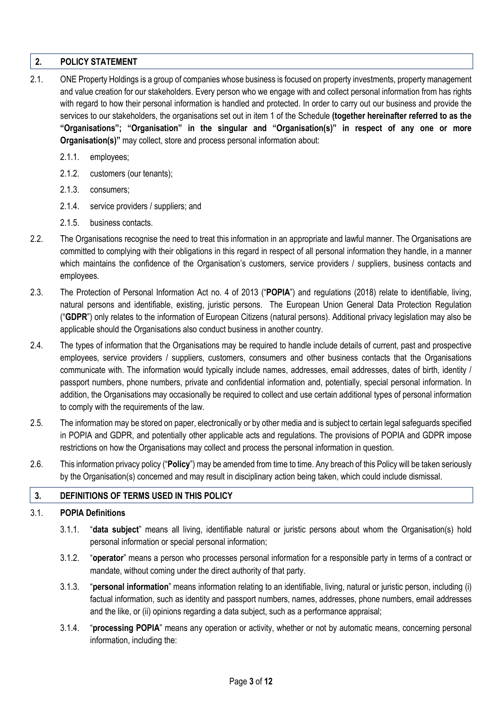## <span id="page-2-0"></span>**2. POLICY STATEMENT**

- 2.1. ONE Property Holdings is a group of companies whose business is focused on property investments, property management and value creation for our stakeholders. Every person who we engage with and collect personal information from has rights with regard to how their personal information is handled and protected. In order to carry out our business and provide the services to our stakeholders, the organisations set out in item 1 of the Schedule **(together hereinafter referred to as the "Organisations"; "Organisation" in the singular and "Organisation(s)" in respect of any one or more Organisation(s)"** may collect, store and process personal information about:
	- 2.1.1. employees;
	- 2.1.2. customers (our tenants);
	- 2.1.3. consumers;
	- 2.1.4. service providers / suppliers; and
	- 2.1.5. business contacts.
- 2.2. The Organisations recognise the need to treat this information in an appropriate and lawful manner. The Organisations are committed to complying with their obligations in this regard in respect of all personal information they handle, in a manner which maintains the confidence of the Organisation's customers, service providers / suppliers, business contacts and employees.
- 2.3. The Protection of Personal Information Act no. 4 of 2013 ("**POPIA**") and regulations (2018) relate to identifiable, living, natural persons and identifiable, existing, juristic persons. The European Union General Data Protection Regulation ("**GDPR**") only relates to the information of European Citizens (natural persons). Additional privacy legislation may also be applicable should the Organisations also conduct business in another country.
- 2.4. The types of information that the Organisations may be required to handle include details of current, past and prospective employees, service providers / suppliers, customers, consumers and other business contacts that the Organisations communicate with. The information would typically include names, addresses, email addresses, dates of birth, identity / passport numbers, phone numbers, private and confidential information and, potentially, special personal information. In addition, the Organisations may occasionally be required to collect and use certain additional types of personal information to comply with the requirements of the law.
- 2.5. The information may be stored on paper, electronically or by other media and is subject to certain legal safeguards specified in POPIA and GDPR, and potentially other applicable acts and regulations. The provisions of POPIA and GDPR impose restrictions on how the Organisations may collect and process the personal information in question.
- 2.6. This information privacy policy ("**Policy**") may be amended from time to time. Any breach of this Policy will be taken seriously by the Organisation(s) concerned and may result in disciplinary action being taken, which could include dismissal.

## <span id="page-2-1"></span>**3. DEFINITIONS OF TERMS USED IN THIS POLICY**

#### 3.1. **POPIA Definitions**

- 3.1.1. "**data subject**" means all living, identifiable natural or juristic persons about whom the Organisation(s) hold personal information or special personal information;
- 3.1.2. "**operator**" means a person who processes personal information for a responsible party in terms of a contract or mandate, without coming under the direct authority of that party.
- 3.1.3. "**personal information**" means information relating to an identifiable, living, natural or juristic person, including (i) factual information, such as identity and passport numbers, names, addresses, phone numbers, email addresses and the like, or (ii) opinions regarding a data subject, such as a performance appraisal;
- 3.1.4. "**processing POPIA**" means any operation or activity, whether or not by automatic means, concerning personal information, including the: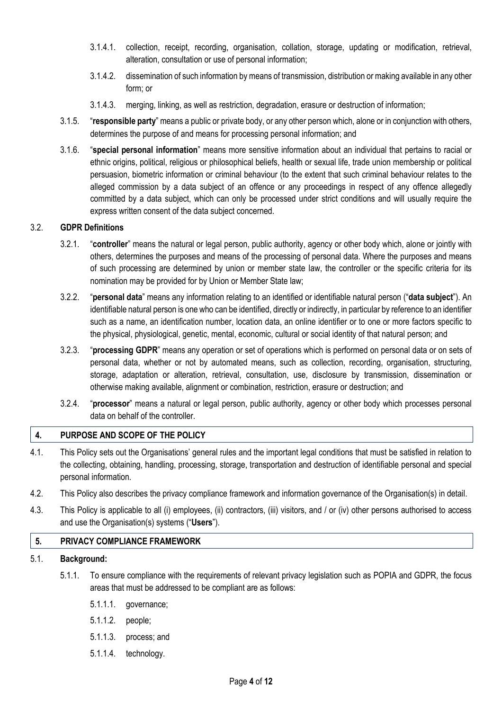- 3.1.4.1. collection, receipt, recording, organisation, collation, storage, updating or modification, retrieval, alteration, consultation or use of personal information;
- 3.1.4.2. dissemination of such information by means of transmission, distribution or making available in any other form; or
- 3.1.4.3. merging, linking, as well as restriction, degradation, erasure or destruction of information;
- 3.1.5. "**responsible party**" means a public or private body, or any other person which, alone or in conjunction with others, determines the purpose of and means for processing personal information; and
- 3.1.6. "**special personal information**" means more sensitive information about an individual that pertains to racial or ethnic origins, political, religious or philosophical beliefs, health or sexual life, trade union membership or political persuasion, biometric information or criminal behaviour (to the extent that such criminal behaviour relates to the alleged commission by a data subject of an offence or any proceedings in respect of any offence allegedly committed by a data subject, which can only be processed under strict conditions and will usually require the express written consent of the data subject concerned.

## 3.2. **GDPR Definitions**

- 3.2.1. "**controller**" means the natural or legal person, public authority, agency or other body which, alone or jointly with others, determines the purposes and means of the processing of personal data. Where the purposes and means of such processing are determined by union or member state law, the controller or the specific criteria for its nomination may be provided for by Union or Member State law;
- 3.2.2. "**personal data**" means any information relating to an identified or identifiable natural person ("**data subject**"). An identifiable natural person is one who can be identified, directly or indirectly, in particular by reference to an identifier such as a name, an identification number, location data, an online identifier or to one or more factors specific to the physical, physiological, genetic, mental, economic, cultural or social identity of that natural person; and
- 3.2.3. "**processing GDPR**" means any operation or set of operations which is performed on personal data or on sets of personal data, whether or not by automated means, such as collection, recording, organisation, structuring, storage, adaptation or alteration, retrieval, consultation, use, disclosure by transmission, dissemination or otherwise making available, alignment or combination, restriction, erasure or destruction; and
- 3.2.4. "**processor**" means a natural or legal person, public authority, agency or other body which processes personal data on behalf of the controller.

#### <span id="page-3-0"></span>**4. PURPOSE AND SCOPE OF THE POLICY**

- 4.1. This Policy sets out the Organisations' general rules and the important legal conditions that must be satisfied in relation to the collecting, obtaining, handling, processing, storage, transportation and destruction of identifiable personal and special personal information.
- 4.2. This Policy also describes the privacy compliance framework and information governance of the Organisation(s) in detail.
- 4.3. This Policy is applicable to all (i) employees, (ii) contractors, (iii) visitors, and / or (iv) other persons authorised to access and use the Organisation(s) systems ("**Users**").

#### <span id="page-3-1"></span>**5. PRIVACY COMPLIANCE FRAMEWORK**

#### 5.1. **Background:**

- 5.1.1. To ensure compliance with the requirements of relevant privacy legislation such as POPIA and GDPR, the focus areas that must be addressed to be compliant are as follows:
	- 5.1.1.1. governance;
	- 5.1.1.2. people;
	- 5.1.1.3. process; and
	- 5.1.1.4. technology.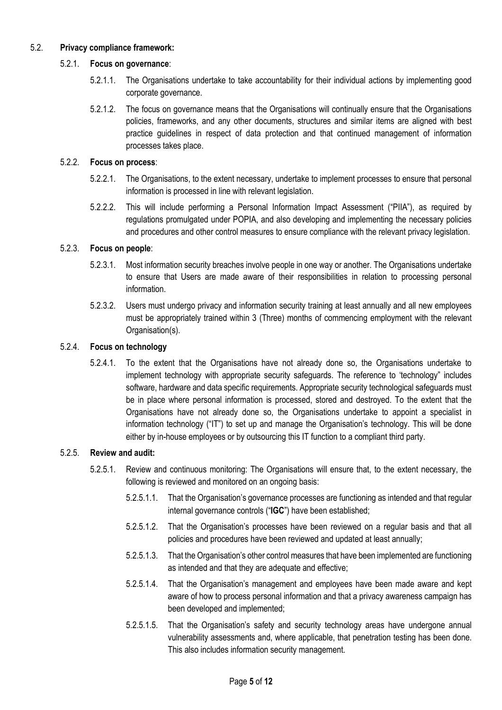## 5.2. **Privacy compliance framework:**

#### 5.2.1. **Focus on governance**:

- 5.2.1.1. The Organisations undertake to take accountability for their individual actions by implementing good corporate governance.
- 5.2.1.2. The focus on governance means that the Organisations will continually ensure that the Organisations policies, frameworks, and any other documents, structures and similar items are aligned with best practice guidelines in respect of data protection and that continued management of information processes takes place.

## 5.2.2. **Focus on process**:

- 5.2.2.1. The Organisations, to the extent necessary, undertake to implement processes to ensure that personal information is processed in line with relevant legislation.
- 5.2.2.2. This will include performing a Personal Information Impact Assessment ("PIIA"), as required by regulations promulgated under POPIA, and also developing and implementing the necessary policies and procedures and other control measures to ensure compliance with the relevant privacy legislation.

## 5.2.3. **Focus on people**:

- 5.2.3.1. Most information security breaches involve people in one way or another. The Organisations undertake to ensure that Users are made aware of their responsibilities in relation to processing personal information.
- 5.2.3.2. Users must undergo privacy and information security training at least annually and all new employees must be appropriately trained within 3 (Three) months of commencing employment with the relevant Organisation(s).

## 5.2.4. **Focus on technology**

5.2.4.1. To the extent that the Organisations have not already done so, the Organisations undertake to implement technology with appropriate security safeguards. The reference to 'technology" includes software, hardware and data specific requirements. Appropriate security technological safeguards must be in place where personal information is processed, stored and destroyed. To the extent that the Organisations have not already done so, the Organisations undertake to appoint a specialist in information technology ("IT") to set up and manage the Organisation's technology. This will be done either by in-house employees or by outsourcing this IT function to a compliant third party.

#### 5.2.5. **Review and audit:**

- 5.2.5.1. Review and continuous monitoring: The Organisations will ensure that, to the extent necessary, the following is reviewed and monitored on an ongoing basis:
	- 5.2.5.1.1. That the Organisation's governance processes are functioning as intended and that regular internal governance controls ("**IGC**") have been established;
	- 5.2.5.1.2. That the Organisation's processes have been reviewed on a regular basis and that all policies and procedures have been reviewed and updated at least annually;
	- 5.2.5.1.3. That the Organisation's other control measures that have been implemented are functioning as intended and that they are adequate and effective;
	- 5.2.5.1.4. That the Organisation's management and employees have been made aware and kept aware of how to process personal information and that a privacy awareness campaign has been developed and implemented;
	- 5.2.5.1.5. That the Organisation's safety and security technology areas have undergone annual vulnerability assessments and, where applicable, that penetration testing has been done. This also includes information security management.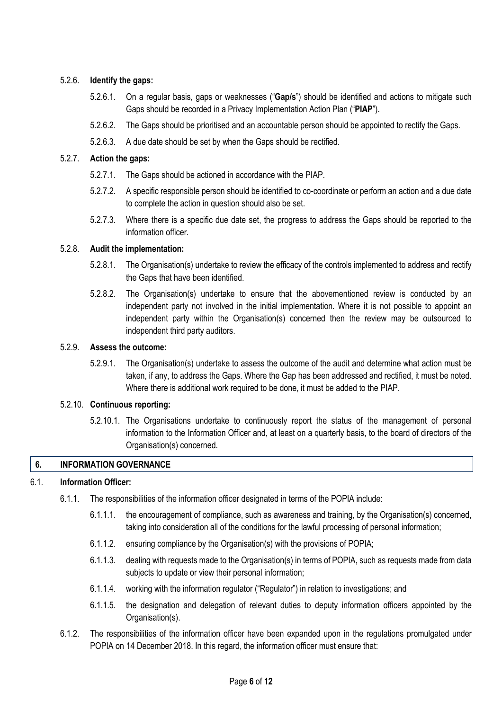#### 5.2.6. **Identify the gaps:**

- 5.2.6.1. On a regular basis, gaps or weaknesses ("**Gap/s**") should be identified and actions to mitigate such Gaps should be recorded in a Privacy Implementation Action Plan ("**PIAP**").
- 5.2.6.2. The Gaps should be prioritised and an accountable person should be appointed to rectify the Gaps.
- 5.2.6.3. A due date should be set by when the Gaps should be rectified.

#### 5.2.7. **Action the gaps:**

- 5.2.7.1. The Gaps should be actioned in accordance with the PIAP.
- 5.2.7.2. A specific responsible person should be identified to co-coordinate or perform an action and a due date to complete the action in question should also be set.
- 5.2.7.3. Where there is a specific due date set, the progress to address the Gaps should be reported to the information officer.

## 5.2.8. **Audit the implementation:**

- 5.2.8.1. The Organisation(s) undertake to review the efficacy of the controls implemented to address and rectify the Gaps that have been identified.
- 5.2.8.2. The Organisation(s) undertake to ensure that the abovementioned review is conducted by an independent party not involved in the initial implementation. Where it is not possible to appoint an independent party within the Organisation(s) concerned then the review may be outsourced to independent third party auditors.

## 5.2.9. **Assess the outcome:**

5.2.9.1. The Organisation(s) undertake to assess the outcome of the audit and determine what action must be taken, if any, to address the Gaps. Where the Gap has been addressed and rectified, it must be noted. Where there is additional work required to be done, it must be added to the PIAP.

#### 5.2.10. **Continuous reporting:**

5.2.10.1. The Organisations undertake to continuously report the status of the management of personal information to the Information Officer and, at least on a quarterly basis, to the board of directors of the Organisation(s) concerned.

#### <span id="page-5-0"></span>**6. INFORMATION GOVERNANCE**

# 6.1. **Information Officer:**

- 6.1.1. The responsibilities of the information officer designated in terms of the POPIA include:
	- 6.1.1.1. the encouragement of compliance, such as awareness and training, by the Organisation(s) concerned, taking into consideration all of the conditions for the lawful processing of personal information;
	- 6.1.1.2. ensuring compliance by the Organisation(s) with the provisions of POPIA;
	- 6.1.1.3. dealing with requests made to the Organisation(s) in terms of POPIA, such as requests made from data subjects to update or view their personal information;
	- 6.1.1.4. working with the information regulator ("Regulator") in relation to investigations; and
	- 6.1.1.5. the designation and delegation of relevant duties to deputy information officers appointed by the Organisation(s).
- 6.1.2. The responsibilities of the information officer have been expanded upon in the regulations promulgated under POPIA on 14 December 2018. In this regard, the information officer must ensure that: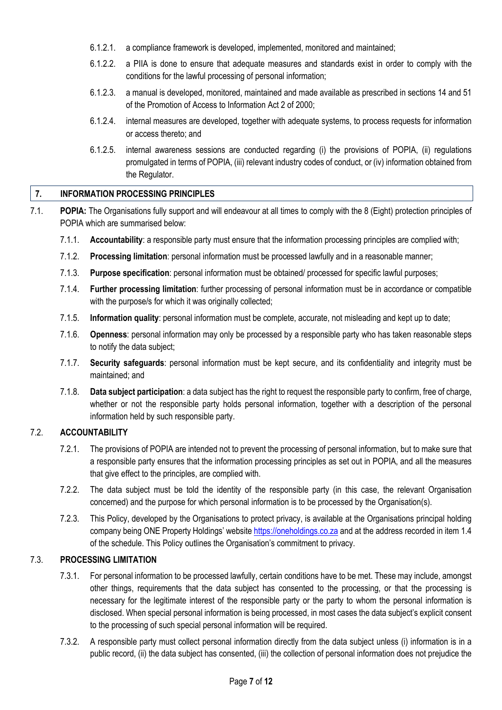- 6.1.2.1. a compliance framework is developed, implemented, monitored and maintained;
- 6.1.2.2. a PIIA is done to ensure that adequate measures and standards exist in order to comply with the conditions for the lawful processing of personal information;
- 6.1.2.3. a manual is developed, monitored, maintained and made available as prescribed in sections 14 and 51 of the Promotion of Access to Information Act 2 of 2000;
- 6.1.2.4. internal measures are developed, together with adequate systems, to process requests for information or access thereto; and
- 6.1.2.5. internal awareness sessions are conducted regarding (i) the provisions of POPIA, (ii) regulations promulgated in terms of POPIA, (iii) relevant industry codes of conduct, or (iv) information obtained from the Regulator.

# <span id="page-6-0"></span>**7. INFORMATION PROCESSING PRINCIPLES**

- 7.1. **POPIA:** The Organisations fully support and will endeavour at all times to comply with the 8 (Eight) protection principles of POPIA which are summarised below:
	- 7.1.1. **Accountability**: a responsible party must ensure that the information processing principles are complied with;
	- 7.1.2. **Processing limitation**: personal information must be processed lawfully and in a reasonable manner;
	- 7.1.3. **Purpose specification**: personal information must be obtained/ processed for specific lawful purposes;
	- 7.1.4. **Further processing limitation**: further processing of personal information must be in accordance or compatible with the purpose/s for which it was originally collected;
	- 7.1.5. **Information quality**: personal information must be complete, accurate, not misleading and kept up to date;
	- 7.1.6. **Openness**: personal information may only be processed by a responsible party who has taken reasonable steps to notify the data subject;
	- 7.1.7. **Security safeguards**: personal information must be kept secure, and its confidentiality and integrity must be maintained; and
	- 7.1.8. **Data subject participation**: a data subject has the right to request the responsible party to confirm, free of charge, whether or not the responsible party holds personal information, together with a description of the personal information held by such responsible party.

## 7.2. **ACCOUNTABILITY**

- 7.2.1. The provisions of POPIA are intended not to prevent the processing of personal information, but to make sure that a responsible party ensures that the information processing principles as set out in POPIA, and all the measures that give effect to the principles, are complied with.
- 7.2.2. The data subject must be told the identity of the responsible party (in this case, the relevant Organisation concerned) and the purpose for which personal information is to be processed by the Organisation(s).
- <span id="page-6-1"></span>7.2.3. This Policy, developed by the Organisations to protect privacy, is available at the Organisations principal holding company being ONE Property Holdings' website [https://oneholdings.co.za](https://oneholdings.co.za/) and at the address recorded in item 1.4 of the schedule. This Policy outlines the Organisation's commitment to privacy.

# 7.3. **PROCESSING LIMITATION**

- 7.3.1. For personal information to be processed lawfully, certain conditions have to be met. These may include, amongst other things, requirements that the data subject has consented to the processing, or that the processing is necessary for the legitimate interest of the responsible party or the party to whom the personal information is disclosed. When special personal information is being processed, in most cases the data subject's explicit consent to the processing of such special personal information will be required.
- 7.3.2. A responsible party must collect personal information directly from the data subject unless (i) information is in a public record, (ii) the data subject has consented, (iii) the collection of personal information does not prejudice the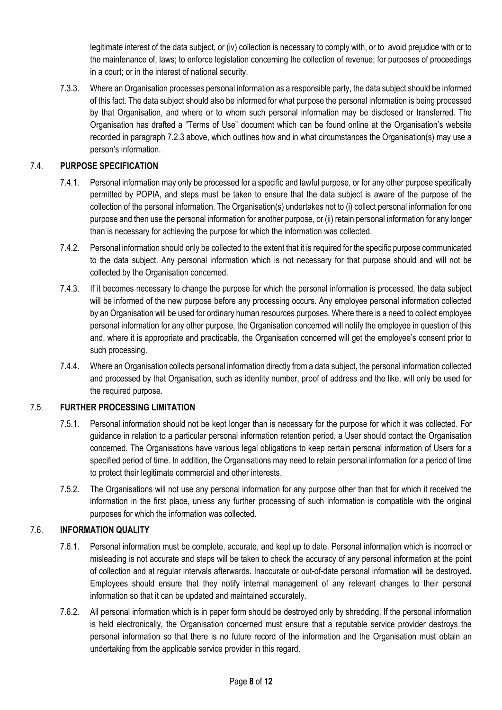legitimate interest of the data subject, or (iv) collection is necessary to comply with, or to avoid prejudice with or to the maintenance of, laws; to enforce legislation concerning the collection of revenue; for purposes of proceedings in a court; or in the interest of national security.

7.3.3. Where an Organisation processes personal information as a responsible party, the data subject should be informed of this fact. The data subject should also be informed for what purpose the personal information is being processed by that Organisation, and where or to whom such personal information may be disclosed or transferred. The Organisation has drafted a "Terms of Use" document which can be found online at the Organisation's website recorded in paragraph [7.2.3](#page-6-1) above, which outlines how and in what circumstances the Organisation(s) may use a person's information.

## 7.4. **PURPOSE SPECIFICATION**

- 7.4.1. Personal information may only be processed for a specific and lawful purpose, or for any other purpose specifically permitted by POPIA, and steps must be taken to ensure that the data subject is aware of the purpose of the collection of the personal information. The Organisation(s) undertakes not to (i) collect personal information for one purpose and then use the personal information for another purpose, or (ii) retain personal information for any longer than is necessary for achieving the purpose for which the information was collected.
- 7.4.2. Personal information should only be collected to the extent that it is required for the specific purpose communicated to the data subject. Any personal information which is not necessary for that purpose should and will not be collected by the Organisation concerned.
- 7.4.3. If it becomes necessary to change the purpose for which the personal information is processed, the data subject will be informed of the new purpose before any processing occurs. Any employee personal information collected by an Organisation will be used for ordinary human resources purposes. Where there is a need to collect employee personal information for any other purpose, the Organisation concerned will notify the employee in question of this and, where it is appropriate and practicable, the Organisation concerned will get the employee's consent prior to such processing.
- 7.4.4. Where an Organisation collects personal information directly from a data subject, the personal information collected and processed by that Organisation, such as identity number, proof of address and the like, will only be used for the required purpose.

# 7.5. **FURTHER PROCESSING LIMITATION**

- 7.5.1. Personal information should not be kept longer than is necessary for the purpose for which it was collected. For guidance in relation to a particular personal information retention period, a User should contact the Organisation concerned. The Organisations have various legal obligations to keep certain personal information of Users for a specified period of time. In addition, the Organisations may need to retain personal information for a period of time to protect their legitimate commercial and other interests.
- 7.5.2. The Organisations will not use any personal information for any purpose other than that for which it received the information in the first place, unless any further processing of such information is compatible with the original purposes for which the information was collected.

# 7.6. **INFORMATION QUALITY**

- 7.6.1. Personal information must be complete, accurate, and kept up to date. Personal information which is incorrect or misleading is not accurate and steps will be taken to check the accuracy of any personal information at the point of collection and at regular intervals afterwards. Inaccurate or out-of-date personal information will be destroyed. Employees should ensure that they notify internal management of any relevant changes to their personal information so that it can be updated and maintained accurately.
- 7.6.2. All personal information which is in paper form should be destroyed only by shredding. If the personal information is held electronically, the Organisation concerned must ensure that a reputable service provider destroys the personal information so that there is no future record of the information and the Organisation must obtain an undertaking from the applicable service provider in this regard.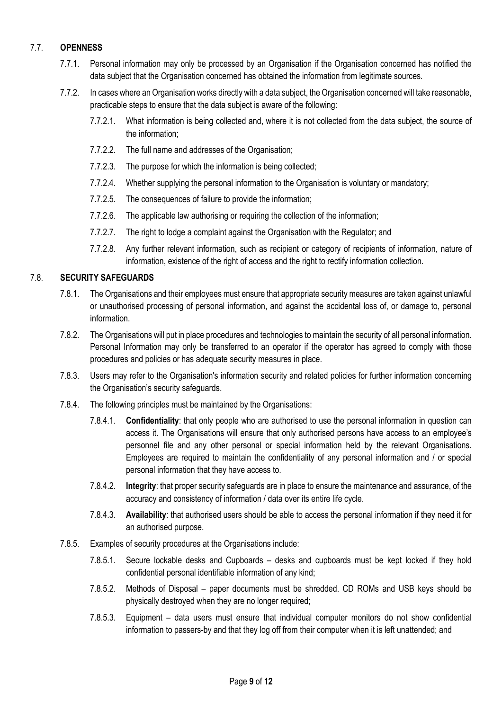# 7.7. **OPENNESS**

- 7.7.1. Personal information may only be processed by an Organisation if the Organisation concerned has notified the data subject that the Organisation concerned has obtained the information from legitimate sources.
- 7.7.2. In cases where an Organisation works directly with a data subject, the Organisation concerned will take reasonable, practicable steps to ensure that the data subject is aware of the following:
	- 7.7.2.1. What information is being collected and, where it is not collected from the data subject, the source of the information;
	- 7.7.2.2. The full name and addresses of the Organisation;
	- 7.7.2.3. The purpose for which the information is being collected;
	- 7.7.2.4. Whether supplying the personal information to the Organisation is voluntary or mandatory;
	- 7.7.2.5. The consequences of failure to provide the information;
	- 7.7.2.6. The applicable law authorising or requiring the collection of the information;
	- 7.7.2.7. The right to lodge a complaint against the Organisation with the Regulator; and
	- 7.7.2.8. Any further relevant information, such as recipient or category of recipients of information, nature of information, existence of the right of access and the right to rectify information collection.

## 7.8. **SECURITY SAFEGUARDS**

- 7.8.1. The Organisations and their employees must ensure that appropriate security measures are taken against unlawful or unauthorised processing of personal information, and against the accidental loss of, or damage to, personal information.
- 7.8.2. The Organisations will put in place procedures and technologies to maintain the security of all personal information. Personal Information may only be transferred to an operator if the operator has agreed to comply with those procedures and policies or has adequate security measures in place.
- 7.8.3. Users may refer to the Organisation's information security and related policies for further information concerning the Organisation's security safeguards.
- 7.8.4. The following principles must be maintained by the Organisations:
	- 7.8.4.1. **Confidentiality**: that only people who are authorised to use the personal information in question can access it. The Organisations will ensure that only authorised persons have access to an employee's personnel file and any other personal or special information held by the relevant Organisations. Employees are required to maintain the confidentiality of any personal information and / or special personal information that they have access to.
	- 7.8.4.2. **Integrity**: that proper security safeguards are in place to ensure the maintenance and assurance, of the accuracy and consistency of information / data over its entire life cycle.
	- 7.8.4.3. **Availability**: that authorised users should be able to access the personal information if they need it for an authorised purpose.
- 7.8.5. Examples of security procedures at the Organisations include:
	- 7.8.5.1. Secure lockable desks and Cupboards desks and cupboards must be kept locked if they hold confidential personal identifiable information of any kind;
	- 7.8.5.2. Methods of Disposal paper documents must be shredded. CD ROMs and USB keys should be physically destroyed when they are no longer required;
	- 7.8.5.3. Equipment data users must ensure that individual computer monitors do not show confidential information to passers-by and that they log off from their computer when it is left unattended; and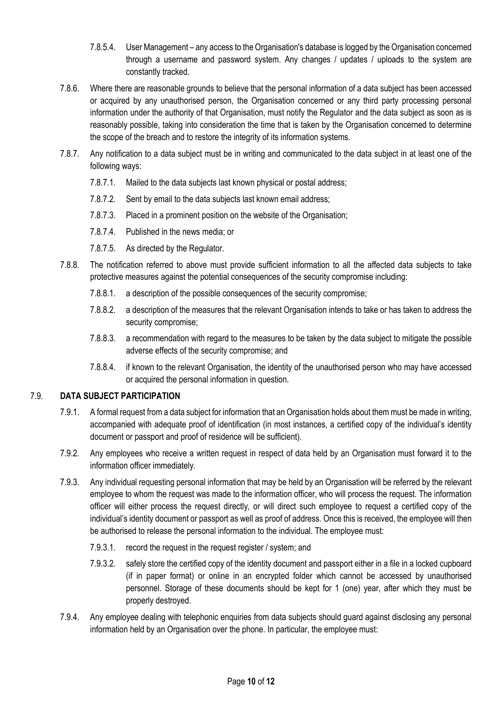- 7.8.5.4. User Management any access to the Organisation's database is logged by the Organisation concerned through a username and password system. Any changes / updates / uploads to the system are constantly tracked.
- 7.8.6. Where there are reasonable grounds to believe that the personal information of a data subject has been accessed or acquired by any unauthorised person, the Organisation concerned or any third party processing personal information under the authority of that Organisation, must notify the Regulator and the data subject as soon as is reasonably possible, taking into consideration the time that is taken by the Organisation concerned to determine the scope of the breach and to restore the integrity of its information systems.
- 7.8.7. Any notification to a data subject must be in writing and communicated to the data subject in at least one of the following ways:
	- 7.8.7.1. Mailed to the data subjects last known physical or postal address;
	- 7.8.7.2. Sent by email to the data subjects last known email address;
	- 7.8.7.3. Placed in a prominent position on the website of the Organisation;
	- 7.8.7.4. Published in the news media; or
	- 7.8.7.5. As directed by the Regulator.
- 7.8.8. The notification referred to above must provide sufficient information to all the affected data subjects to take protective measures against the potential consequences of the security compromise including:
	- 7.8.8.1. a description of the possible consequences of the security compromise;
	- 7.8.8.2. a description of the measures that the relevant Organisation intends to take or has taken to address the security compromise;
	- 7.8.8.3. a recommendation with regard to the measures to be taken by the data subject to mitigate the possible adverse effects of the security compromise; and
	- 7.8.8.4. if known to the relevant Organisation, the identity of the unauthorised person who may have accessed or acquired the personal information in question.

# 7.9. **DATA SUBJECT PARTICIPATION**

- 7.9.1. A formal request from a data subject for information that an Organisation holds about them must be made in writing, accompanied with adequate proof of identification (in most instances, a certified copy of the individual's identity document or passport and proof of residence will be sufficient).
- 7.9.2. Any employees who receive a written request in respect of data held by an Organisation must forward it to the information officer immediately.
- 7.9.3. Any individual requesting personal information that may be held by an Organisation will be referred by the relevant employee to whom the request was made to the information officer, who will process the request. The information officer will either process the request directly, or will direct such employee to request a certified copy of the individual's identity document or passport as well as proof of address. Once this is received, the employee will then be authorised to release the personal information to the individual. The employee must:
	- 7.9.3.1. record the request in the request register / system; and
	- 7.9.3.2. safely store the certified copy of the identity document and passport either in a file in a locked cupboard (if in paper format) or online in an encrypted folder which cannot be accessed by unauthorised personnel. Storage of these documents should be kept for 1 (one) year, after which they must be properly destroyed.
- 7.9.4. Any employee dealing with telephonic enquiries from data subjects should guard against disclosing any personal information held by an Organisation over the phone. In particular, the employee must: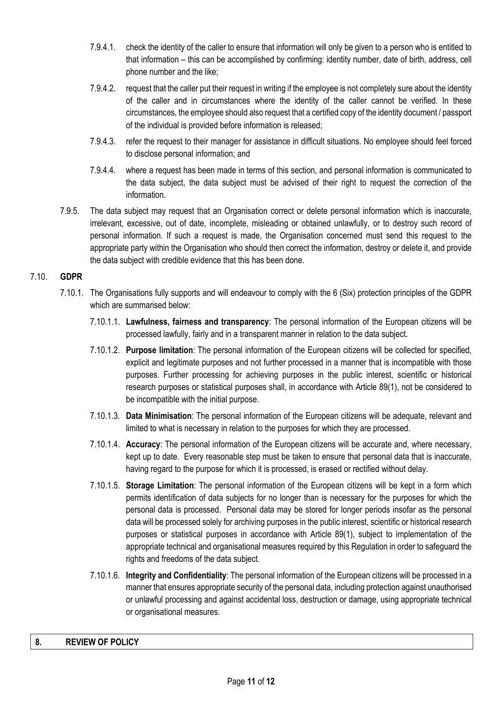- 7.9.4.1. check the identity of the caller to ensure that information will only be given to a person who is entitled to that information – this can be accomplished by confirming: identity number, date of birth, address, cell phone number and the like;
- 7.9.4.2. request that the caller put their request in writing if the employee is not completely sure about the identity of the caller and in circumstances where the identity of the caller cannot be verified. In these circumstances, the employee should also request that a certified copy of the identity document / passport of the individual is provided before information is released;
- 7.9.4.3. refer the request to their manager for assistance in difficult situations. No employee should feel forced to disclose personal information; and
- 7.9.4.4. where a request has been made in terms of this section, and personal information is communicated to the data subject, the data subject must be advised of their right to request the correction of the information.
- 7.9.5. The data subject may request that an Organisation correct or delete personal information which is inaccurate, irrelevant, excessive, out of date, incomplete, misleading or obtained unlawfully, or to destroy such record of personal information. If such a request is made, the Organisation concerned must send this request to the appropriate party within the Organisation who should then correct the information, destroy or delete it, and provide the data subject with credible evidence that this has been done.

## 7.10. **GDPR**

- 7.10.1. The Organisations fully supports and will endeavour to comply with the 6 (Six) protection principles of the GDPR which are summarised below:
	- 7.10.1.1. **Lawfulness, fairness and transparency**: The personal information of the European citizens will be processed lawfully, fairly and in a transparent manner in relation to the data subject.
	- 7.10.1.2. **Purpose limitation**: The personal information of the European citizens will be collected for specified, explicit and legitimate purposes and not further processed in a manner that is incompatible with those purposes. Further processing for achieving purposes in the public interest, scientific or historical research purposes or statistical purposes shall, in accordance with Article 89(1), not be considered to be incompatible with the initial purpose.
	- 7.10.1.3. **Data Minimisation**: The personal information of the European citizens will be adequate, relevant and limited to what is necessary in relation to the purposes for which they are processed.
	- 7.10.1.4. **Accuracy**: The personal information of the European citizens will be accurate and, where necessary, kept up to date. Every reasonable step must be taken to ensure that personal data that is inaccurate, having regard to the purpose for which it is processed, is erased or rectified without delay.
	- 7.10.1.5. **Storage Limitation**: The personal information of the European citizens will be kept in a form which permits identification of data subjects for no longer than is necessary for the purposes for which the personal data is processed. Personal data may be stored for longer periods insofar as the personal data will be processed solely for archiving purposes in the public interest, scientific or historical research purposes or statistical purposes in accordance with Article 89(1), subject to implementation of the appropriate technical and organisational measures required by this Regulation in order to safeguard the rights and freedoms of the data subject.
	- 7.10.1.6. **Integrity and Confidentiality**: The personal information of the European citizens will be processed in a manner that ensures appropriate security of the personal data, including protection against unauthorised or unlawful processing and against accidental loss, destruction or damage, using appropriate technical or organisational measures.

#### <span id="page-10-0"></span>**8. REVIEW OF POLICY**